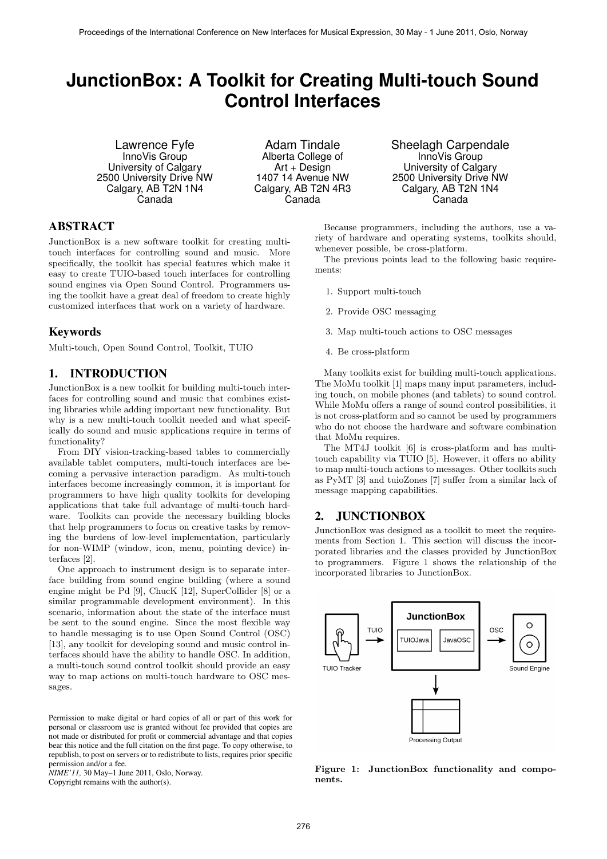# **JunctionBox: A Toolkit for Creating Multi-touch Sound Control Interfaces**

Lawrence Fyfe InnoVis Group University of Calgary 2500 University Drive NW Calgary, AB T2N 1N4 Canada

Adam Tindale Alberta College of Art + Design 1407 14 Avenue NW Calgary, AB T2N 4R3 Canada

Sheelagh Carpendale InnoVis Group University of Calgary 2500 University Drive NW Calgary, AB T2N 1N4 Canada

# ABSTRACT

JunctionBox is a new software toolkit for creating multitouch interfaces for controlling sound and music. More specifically, the toolkit has special features which make it easy to create TUIO-based touch interfaces for controlling sound engines via Open Sound Control. Programmers using the toolkit have a great deal of freedom to create highly customized interfaces that work on a variety of hardware.

# Keywords

Multi-touch, Open Sound Control, Toolkit, TUIO

# 1. INTRODUCTION

JunctionBox is a new toolkit for building multi-touch interfaces for controlling sound and music that combines existing libraries while adding important new functionality. But why is a new multi-touch toolkit needed and what specifically do sound and music applications require in terms of functionality?

From DIY vision-tracking-based tables to commercially available tablet computers, multi-touch interfaces are becoming a pervasive interaction paradigm. As multi-touch interfaces become increasingly common, it is important for programmers to have high quality toolkits for developing applications that take full advantage of multi-touch hardware. Toolkits can provide the necessary building blocks that help programmers to focus on creative tasks by removing the burdens of low-level implementation, particularly for non-WIMP (window, icon, menu, pointing device) interfaces [2].

One approach to instrument design is to separate interface building from sound engine building (where a sound engine might be Pd [9], ChucK [12], SuperCollider [8] or a similar programmable development environment). In this scenario, information about the state of the interface must be sent to the sound engine. Since the most flexible way to handle messaging is to use Open Sound Control (OSC) [13], any toolkit for developing sound and music control interfaces should have the ability to handle OSC. In addition, a multi-touch sound control toolkit should provide an easy way to map actions on multi-touch hardware to OSC messages.

Permission to make digital or hard copies of all or part of this work for personal or classroom use is granted without fee provided that copies are not made or distributed for profit or commercial advantage and that copies bear this notice and the full citation on the first page. To copy otherwise, to republish, to post on servers or to redistribute to lists, requires prior specific permission and/or a fee.

*NIME'11,* 30 May–1 June 2011, Oslo, Norway. Copyright remains with the author(s).

Because programmers, including the authors, use a variety of hardware and operating systems, toolkits should, whenever possible, be cross-platform.

The previous points lead to the following basic requirements:

- 1. Support multi-touch
- 2. Provide OSC messaging
- 3. Map multi-touch actions to OSC messages
- 4. Be cross-platform

Many toolkits exist for building multi-touch applications. The MoMu toolkit [1] maps many input parameters, including touch, on mobile phones (and tablets) to sound control. While MoMu offers a range of sound control possibilities, it is not cross-platform and so cannot be used by programmers who do not choose the hardware and software combination that MoMu requires.

The MT4J toolkit [6] is cross-platform and has multitouch capability via TUIO [5]. However, it offers no ability to map multi-touch actions to messages. Other toolkits such as PyMT [3] and tuioZones [7] suffer from a similar lack of message mapping capabilities.

# 2. JUNCTIONBOX

JunctionBox was designed as a toolkit to meet the requirements from Section 1. This section will discuss the incorporated libraries and the classes provided by JunctionBox to programmers. Figure 1 shows the relationship of the incorporated libraries to JunctionBox.



Figure 1: JunctionBox functionality and components.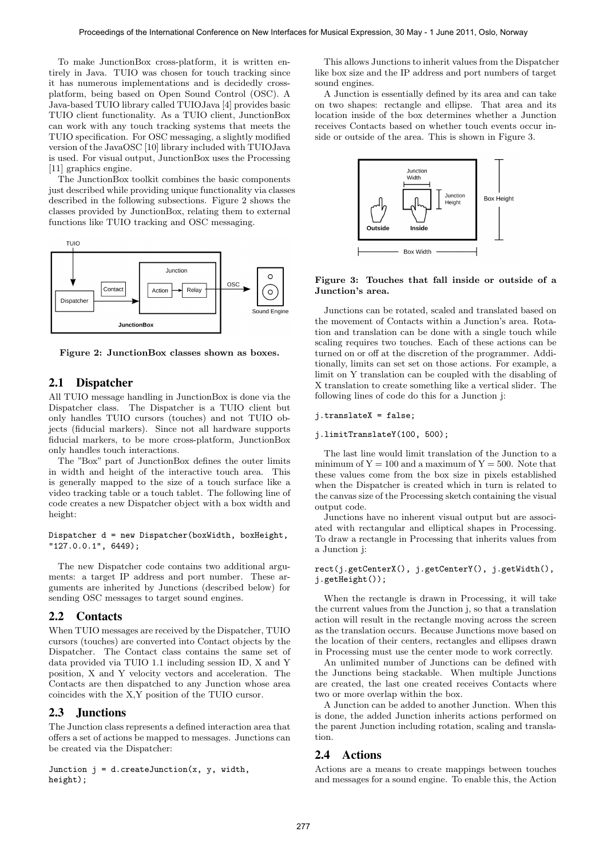To make JunctionBox cross-platform, it is written entirely in Java. TUIO was chosen for touch tracking since it has numerous implementations and is decidedly crossplatform, being based on Open Sound Control (OSC). A Java-based TUIO library called TUIOJava [4] provides basic TUIO client functionality. As a TUIO client, JunctionBox can work with any touch tracking systems that meets the TUIO specification. For OSC messaging, a slightly modified version of the JavaOSC [10] library included with TUIOJava is used. For visual output, JunctionBox uses the Processing [11] graphics engine.

The JunctionBox toolkit combines the basic components just described while providing unique functionality via classes described in the following subsections. Figure 2 shows the classes provided by JunctionBox, relating them to external functions like TUIO tracking and OSC messaging.



Figure 2: JunctionBox classes shown as boxes.

# 2.1 Dispatcher

All TUIO message handling in JunctionBox is done via the Dispatcher class. The Dispatcher is a TUIO client but only handles TUIO cursors (touches) and not TUIO objects (fiducial markers). Since not all hardware supports fiducial markers, to be more cross-platform, JunctionBox only handles touch interactions.

The "Box" part of JunctionBox defines the outer limits in width and height of the interactive touch area. This is generally mapped to the size of a touch surface like a video tracking table or a touch tablet. The following line of code creates a new Dispatcher object with a box width and height:

Dispatcher d = new Dispatcher(boxWidth, boxHeight, "127.0.0.1", 6449);

The new Dispatcher code contains two additional arguments: a target IP address and port number. These arguments are inherited by Junctions (described below) for sending OSC messages to target sound engines.

## 2.2 Contacts

When TUIO messages are received by the Dispatcher, TUIO cursors (touches) are converted into Contact objects by the Dispatcher. The Contact class contains the same set of data provided via TUIO 1.1 including session ID, X and Y position, X and Y velocity vectors and acceleration. The Contacts are then dispatched to any Junction whose area coincides with the X,Y position of the TUIO cursor.

# 2.3 Junctions

The Junction class represents a defined interaction area that offers a set of actions be mapped to messages. Junctions can be created via the Dispatcher:

Junction  $j = d$ .createJunction(x, y, width, height);

This allows Junctions to inherit values from the Dispatcher like box size and the IP address and port numbers of target sound engines.

A Junction is essentially defined by its area and can take on two shapes: rectangle and ellipse. That area and its location inside of the box determines whether a Junction receives Contacts based on whether touch events occur inside or outside of the area. This is shown in Figure 3.



#### Figure 3: Touches that fall inside or outside of a Junction's area.

Junctions can be rotated, scaled and translated based on the movement of Contacts within a Junction's area. Rotation and translation can be done with a single touch while scaling requires two touches. Each of these actions can be turned on or off at the discretion of the programmer. Additionally, limits can set set on those actions. For example, a limit on Y translation can be coupled with the disabling of X translation to create something like a vertical slider. The following lines of code do this for a Junction j:

#### j.translateX = false;

#### j.limitTranslateY(100, 500);

The last line would limit translation of the Junction to a minimum of  $Y = 100$  and a maximum of  $Y = 500$ . Note that these values come from the box size in pixels established when the Dispatcher is created which in turn is related to the canvas size of the Processing sketch containing the visual output code.

Junctions have no inherent visual output but are associated with rectangular and elliptical shapes in Processing. To draw a rectangle in Processing that inherits values from a Junction j:

#### rect(j.getCenterX(), j.getCenterY(), j.getWidth(), j.getHeight());

When the rectangle is drawn in Processing, it will take the current values from the Junction j, so that a translation action will result in the rectangle moving across the screen as the translation occurs. Because Junctions move based on the location of their centers, rectangles and ellipses drawn in Processing must use the center mode to work correctly.

An unlimited number of Junctions can be defined with the Junctions being stackable. When multiple Junctions are created, the last one created receives Contacts where two or more overlap within the box.

A Junction can be added to another Junction. When this is done, the added Junction inherits actions performed on the parent Junction including rotation, scaling and translation.

#### 2.4 Actions

Actions are a means to create mappings between touches and messages for a sound engine. To enable this, the Action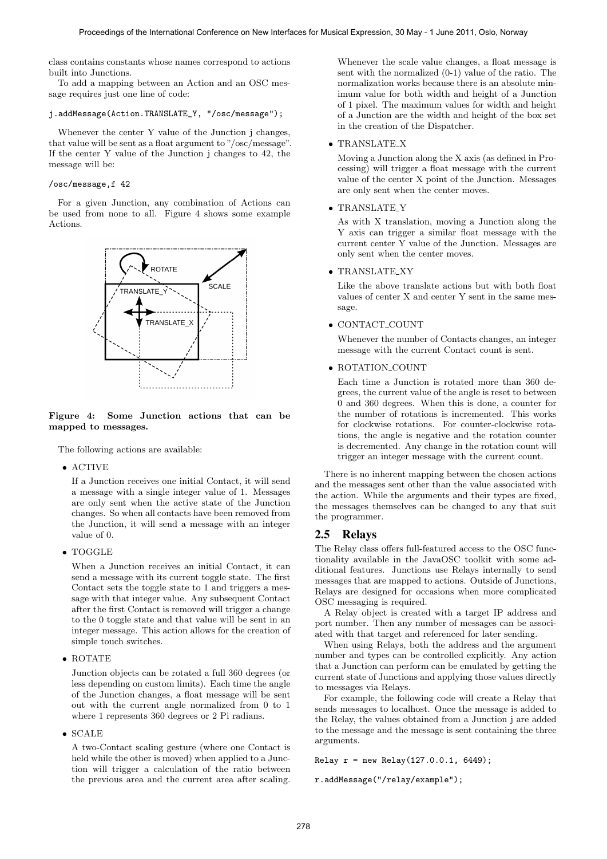class contains constants whose names correspond to actions built into Junctions.

To add a mapping between an Action and an OSC message requires just one line of code:

#### j.addMessage(Action.TRANSLATE\_Y, "/osc/message");

Whenever the center Y value of the Junction j changes, that value will be sent as a float argument to "/osc/message". If the center Y value of the Junction j changes to 42, the message will be:

# /osc/message,f 42

For a given Junction, any combination of Actions can be used from none to all. Figure 4 shows some example Actions.



#### Figure 4: Some Junction actions that can be mapped to messages.

The following actions are available:

• ACTIVE

If a Junction receives one initial Contact, it will send a message with a single integer value of 1. Messages are only sent when the active state of the Junction changes. So when all contacts have been removed from the Junction, it will send a message with an integer value of 0.

• TOGGLE

When a Junction receives an initial Contact, it can send a message with its current toggle state. The first Contact sets the toggle state to 1 and triggers a message with that integer value. Any subsequent Contact after the first Contact is removed will trigger a change to the 0 toggle state and that value will be sent in an integer message. This action allows for the creation of simple touch switches.

• ROTATE

Junction objects can be rotated a full 360 degrees (or less depending on custom limits). Each time the angle of the Junction changes, a float message will be sent out with the current angle normalized from 0 to 1 where 1 represents 360 degrees or 2 Pi radians.

• SCALE

A two-Contact scaling gesture (where one Contact is held while the other is moved) when applied to a Junction will trigger a calculation of the ratio between the previous area and the current area after scaling.

Whenever the scale value changes, a float message is sent with the normalized (0-1) value of the ratio. The normalization works because there is an absolute minimum value for both width and height of a Junction of 1 pixel. The maximum values for width and height of a Junction are the width and height of the box set in the creation of the Dispatcher.

#### • TRANSLATE X

Moving a Junction along the X axis (as defined in Processing) will trigger a float message with the current value of the center X point of the Junction. Messages are only sent when the center moves.

### • TRANSLATE\_Y

As with X translation, moving a Junction along the Y axis can trigger a similar float message with the current center Y value of the Junction. Messages are only sent when the center moves.

#### • TRANSLATE\_XY

Like the above translate actions but with both float values of center X and center Y sent in the same message.

#### • CONTACT COUNT

Whenever the number of Contacts changes, an integer message with the current Contact count is sent.

#### • ROTATION COUNT

Each time a Junction is rotated more than 360 degrees, the current value of the angle is reset to between 0 and 360 degrees. When this is done, a counter for the number of rotations is incremented. This works for clockwise rotations. For counter-clockwise rotations, the angle is negative and the rotation counter is decremented. Any change in the rotation count will trigger an integer message with the current count.

There is no inherent mapping between the chosen actions and the messages sent other than the value associated with the action. While the arguments and their types are fixed, the messages themselves can be changed to any that suit the programmer.

## 2.5 Relays

The Relay class offers full-featured access to the OSC functionality available in the JavaOSC toolkit with some additional features. Junctions use Relays internally to send messages that are mapped to actions. Outside of Junctions, Relays are designed for occasions when more complicated OSC messaging is required.

A Relay object is created with a target IP address and port number. Then any number of messages can be associated with that target and referenced for later sending.

When using Relays, both the address and the argument number and types can be controlled explicitly. Any action that a Junction can perform can be emulated by getting the current state of Junctions and applying those values directly to messages via Relays.

For example, the following code will create a Relay that sends messages to localhost. Once the message is added to the Relay, the values obtained from a Junction j are added to the message and the message is sent containing the three arguments.

Relay  $r = new$  Relay(127.0.0.1, 6449);

r.addMessage("/relay/example");